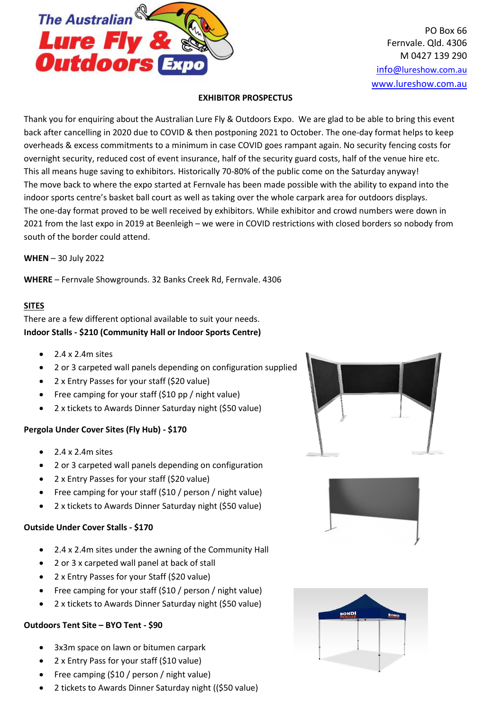

PO Box 66 Fernvale. Qld. 4306 M 0427 139 290 [info@](mailto:info@lureshow.com.au)[lureshow.com.au](mailto:info@lureshow.com.au) [www.lureshow.com.au](http://www.lureshow.com.au/)

## **EXHIBITOR PROSPECTUS**

Thank you for enquiring about the Australian Lure Fly & Outdoors Expo. We are glad to be able to bring this event back after cancelling in 2020 due to COVID & then postponing 2021 to October. The one-day format helps to keep overheads & excess commitments to a minimum in case COVID goes rampant again. No security fencing costs for overnight security, reduced cost of event insurance, half of the security guard costs, half of the venue hire etc. This all means huge saving to exhibitors. Historically 70-80% of the public come on the Saturday anyway! The move back to where the expo started at Fernvale has been made possible with the ability to expand into the indoor sports centre's basket ball court as well as taking over the whole carpark area for outdoors displays. The one-day format proved to be well received by exhibitors. While exhibitor and crowd numbers were down in 2021 from the last expo in 2019 at Beenleigh – we were in COVID restrictions with closed borders so nobody from south of the border could attend.

**WHEN** – 30 July 2022

**WHERE** – Fernvale Showgrounds. 32 Banks Creek Rd, Fernvale. 4306

# **SITES**

There are a few different optional available to suit your needs. **Indoor Stalls - \$210 (Community Hall or Indoor Sports Centre)**

- $\bullet$  2.4 x 2.4 m sites
- 2 or 3 carpeted wall panels depending on configuration supplied
- 2 x Entry Passes for your staff (\$20 value)
- Free camping for your staff (\$10 pp / night value)
- 2 x tickets to Awards Dinner Saturday night (\$50 value)

# **Pergola Under Cover Sites (Fly Hub) - \$170**

- $\bullet$  2.4 x 2.4m sites
- 2 or 3 carpeted wall panels depending on configuration
- 2 x Entry Passes for your staff (\$20 value)
- Free camping for your staff (\$10 / person / night value)
- 2 x tickets to Awards Dinner Saturday night (\$50 value)

# **Outside Under Cover Stalls - \$170**

- 2.4 x 2.4m sites under the awning of the Community Hall
- 2 or 3 x carpeted wall panel at back of stall
- 2 x Entry Passes for your Staff (\$20 value)
- Free camping for your staff (\$10 / person / night value)
- 2 x tickets to Awards Dinner Saturday night (\$50 value)

# **Outdoors Tent Site – BYO Tent - \$90**

- 3x3m space on lawn or bitumen carpark
- 2 x Entry Pass for your staff (\$10 value)
- Free camping (\$10 / person / night value)
- 2 tickets to Awards Dinner Saturday night ((\$50 value)





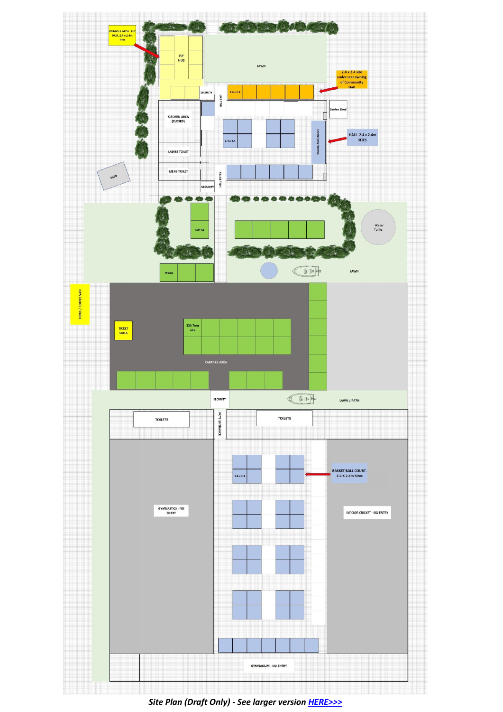

*Site Plan (Draft Only) - See larger version [HERE>>>](http://lureshow.com.au/wp-content/uploads/2022/04/FloorPlan2022-scaled.jpg)*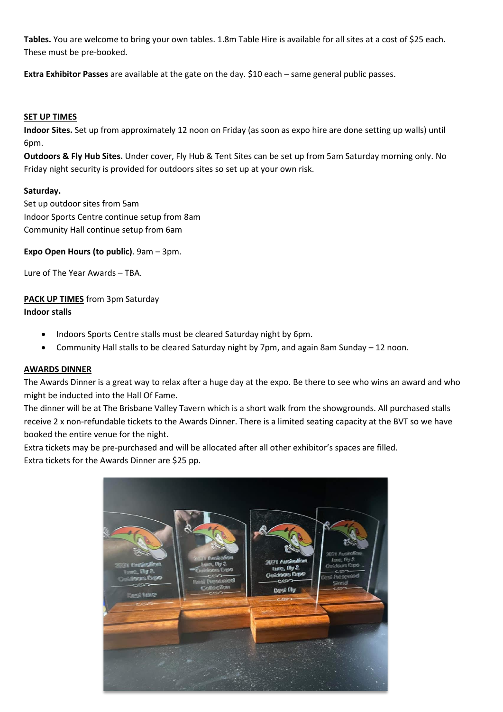**Tables.** You are welcome to bring your own tables. 1.8m Table Hire is available for all sites at a cost of \$25 each. These must be pre-booked.

**Extra Exhibitor Passes** are available at the gate on the day. \$10 each – same general public passes.

#### **SET UP TIMES**

**Indoor Sites.** Set up from approximately 12 noon on Friday (as soon as expo hire are done setting up walls) until 6pm.

**Outdoors & Fly Hub Sites.** Under cover, Fly Hub & Tent Sites can be set up from 5am Saturday morning only. No Friday night security is provided for outdoors sites so set up at your own risk.

## **Saturday.**

Set up outdoor sites from 5am Indoor Sports Centre continue setup from 8am Community Hall continue setup from 6am

**Expo Open Hours (to public)**. 9am – 3pm.

Lure of The Year Awards – TBA.

# **PACK UP TIMES** from 3pm Saturday

## **Indoor stalls**

- Indoors Sports Centre stalls must be cleared Saturday night by 6pm.
- Community Hall stalls to be cleared Saturday night by 7pm, and again 8am Sunday 12 noon.

#### **AWARDS DINNER**

The Awards Dinner is a great way to relax after a huge day at the expo. Be there to see who wins an award and who might be inducted into the Hall Of Fame.

The dinner will be at The Brisbane Valley Tavern which is a short walk from the showgrounds. All purchased stalls receive 2 x non-refundable tickets to the Awards Dinner. There is a limited seating capacity at the BVT so we have booked the entire venue for the night.

Extra tickets may be pre-purchased and will be allocated after all other exhibitor's spaces are filled. Extra tickets for the Awards Dinner are \$25 pp.